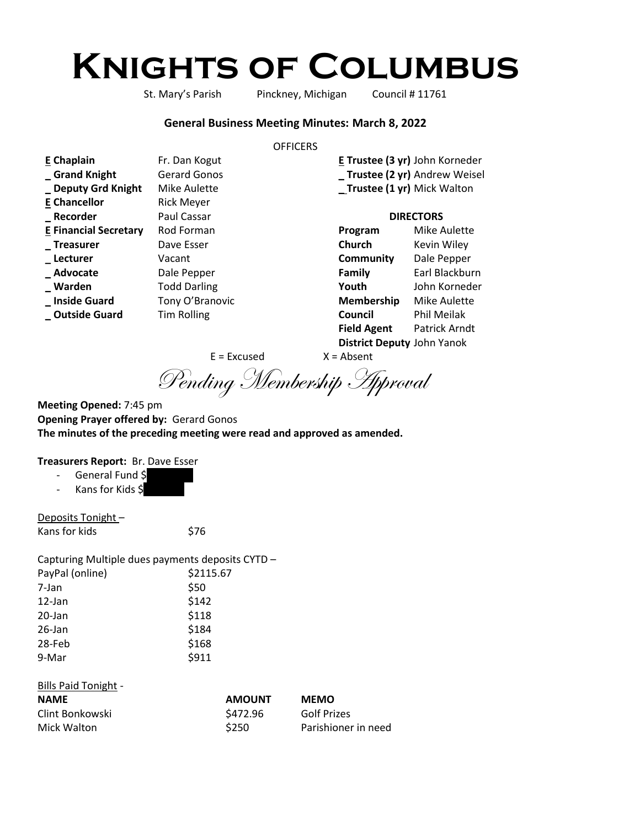# **Knights of Columbus**

St. Mary's Parish Pinckney, Michigan Council # 11761

#### **General Business Meeting Minutes: March 8, 2022**

#### **OFFICERS**

| <b>E</b> Chaplain            | Fr. Dan Kogut       |                             | E Trustee (3 yr) John Korneder |
|------------------------------|---------------------|-----------------------------|--------------------------------|
| Grand Knight                 | <b>Gerard Gonos</b> |                             | _ Trustee (2 yr) Andrew Weisel |
| _ Deputy Grd Knight          | Mike Aulette        | _Trustee (1 yr) Mick Walton |                                |
| <b>E</b> Chancellor          | <b>Rick Meyer</b>   |                             |                                |
| _Recorder                    | Paul Cassar         | <b>DIRECTORS</b>            |                                |
| <b>E Financial Secretary</b> | Rod Forman          | Program                     | Mike Aulette                   |
| _Treasurer                   | Dave Esser          | Church                      | Kevin Wiley                    |
| _ Lecturer                   | Vacant              | Community                   | Dale Pepper                    |
| _Advocate                    | Dale Pepper         | Family                      | Earl Blackburn                 |
| _ Warden                     | <b>Todd Darling</b> | Youth                       | John Korneder                  |
| _ Inside Guard               | Tony O'Branovic     | Membership                  | <b>Mike Aulette</b>            |
| <b>Outside Guard</b>         | <b>Tim Rolling</b>  | Council                     | Phil Meilak                    |
|                              |                     | <b>Field Agent</b>          | Patrick Arndt                  |

**District Deputy** John Yanok

 $E = Excused$   $X = Absent$ 

Pending Membership Approval

**Meeting Opened:** 7:45 pm **Opening Prayer offered by:** Gerard Gonos **The minutes of the preceding meeting were read and approved as amended.**

# **Treasurers Report:** Br. Dave Esser

Kans for Kids \$

Deposits Tonight – Kans for kids \$76

Capturing Multiple dues payments deposits CYTD – PayPal (online) \$2115.67 7-Jan \$50 12-Jan \$142 20-Jan \$118 26-Jan \$184 28-Feb \$168 9-Mar \$911

#### Bills Paid Tonight -

| <b>NAME</b>     | <b>AMOUNT</b> | <b>MEMO</b>         |
|-----------------|---------------|---------------------|
| Clint Bonkowski | \$472.96      | <b>Golf Prizes</b>  |
| Mick Walton     | \$250         | Parishioner in need |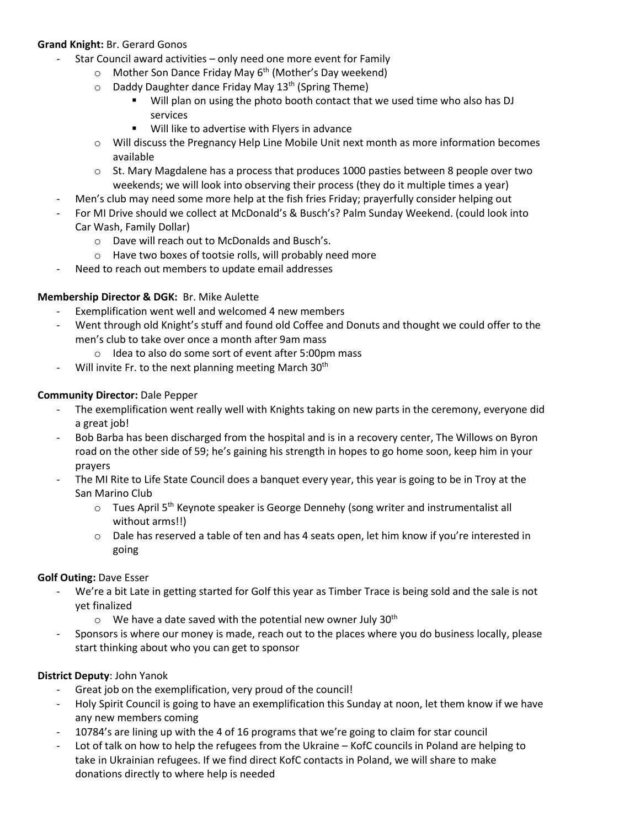# **Grand Knight:** Br. Gerard Gonos

- Star Council award activities only need one more event for Family
	- $\circ$  Mother Son Dance Friday May 6<sup>th</sup> (Mother's Day weekend)
	- o Daddy Daughter dance Friday May 13<sup>th</sup> (Spring Theme)
		- Will plan on using the photo booth contact that we used time who also has DJ services
		- Will like to advertise with Flyers in advance
	- o Will discuss the Pregnancy Help Line Mobile Unit next month as more information becomes available
	- $\circ$  St. Mary Magdalene has a process that produces 1000 pasties between 8 people over two weekends; we will look into observing their process (they do it multiple times a year)
- Men's club may need some more help at the fish fries Friday; prayerfully consider helping out
- For MI Drive should we collect at McDonald's & Busch's? Palm Sunday Weekend. (could look into Car Wash, Family Dollar)
	- o Dave will reach out to McDonalds and Busch's.
	- o Have two boxes of tootsie rolls, will probably need more
	- Need to reach out members to update email addresses

# **Membership Director & DGK:** Br. Mike Aulette

- Exemplification went well and welcomed 4 new members
- Went through old Knight's stuff and found old Coffee and Donuts and thought we could offer to the men's club to take over once a month after 9am mass
	- o Idea to also do some sort of event after 5:00pm mass
- Will invite Fr. to the next planning meeting March 30<sup>th</sup>

## **Community Director:** Dale Pepper

- The exemplification went really well with Knights taking on new parts in the ceremony, everyone did a great job!
- Bob Barba has been discharged from the hospital and is in a recovery center, The Willows on Byron road on the other side of 59; he's gaining his strength in hopes to go home soon, keep him in your prayers
- The MI Rite to Life State Council does a banquet every year, this year is going to be in Troy at the San Marino Club
	- $\circ$  Tues April 5<sup>th</sup> Keynote speaker is George Dennehy (song writer and instrumentalist all without arms!!)
	- $\circ$  Dale has reserved a table of ten and has 4 seats open, let him know if you're interested in going

## **Golf Outing:** Dave Esser

- We're a bit Late in getting started for Golf this year as Timber Trace is being sold and the sale is not yet finalized
	- $\circ$  We have a date saved with the potential new owner July 30<sup>th</sup>
- Sponsors is where our money is made, reach out to the places where you do business locally, please start thinking about who you can get to sponsor

## **District Deputy**: John Yanok

- Great job on the exemplification, very proud of the council!
- Holy Spirit Council is going to have an exemplification this Sunday at noon, let them know if we have any new members coming
- 10784's are lining up with the 4 of 16 programs that we're going to claim for star council
- Lot of talk on how to help the refugees from the Ukraine KofC councils in Poland are helping to take in Ukrainian refugees. If we find direct KofC contacts in Poland, we will share to make donations directly to where help is needed